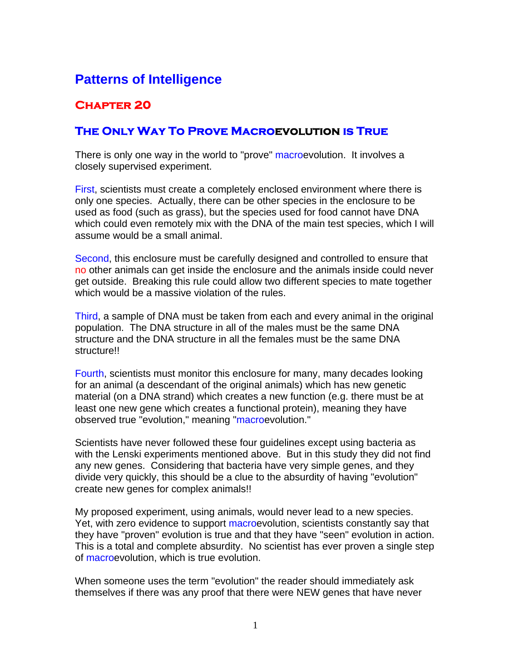## **Patterns of Intelligence**

## **Chapter 20**

## **The Only Way To Prove Macroevolution is True**

There is only one way in the world to "prove" macroevolution. It involves a closely supervised experiment.

First, scientists must create a completely enclosed environment where there is only one species. Actually, there can be other species in the enclosure to be used as food (such as grass), but the species used for food cannot have DNA which could even remotely mix with the DNA of the main test species, which I will assume would be a small animal.

Second, this enclosure must be carefully designed and controlled to ensure that no other animals can get inside the enclosure and the animals inside could never get outside. Breaking this rule could allow two different species to mate together which would be a massive violation of the rules.

Third, a sample of DNA must be taken from each and every animal in the original population. The DNA structure in all of the males must be the same DNA structure and the DNA structure in all the females must be the same DNA structure!!

Fourth, scientists must monitor this enclosure for many, many decades looking for an animal (a descendant of the original animals) which has new genetic material (on a DNA strand) which creates a new function (e.g. there must be at least one new gene which creates a functional protein), meaning they have observed true "evolution," meaning "macroevolution."

Scientists have never followed these four guidelines except using bacteria as with the Lenski experiments mentioned above. But in this study they did not find any new genes. Considering that bacteria have very simple genes, and they divide very quickly, this should be a clue to the absurdity of having "evolution" create new genes for complex animals!!

My proposed experiment, using animals, would never lead to a new species. Yet, with zero evidence to support macroevolution, scientists constantly say that they have "proven" evolution is true and that they have "seen" evolution in action. This is a total and complete absurdity. No scientist has ever proven a single step of macroevolution, which is true evolution.

When someone uses the term "evolution" the reader should immediately ask themselves if there was any proof that there were NEW genes that have never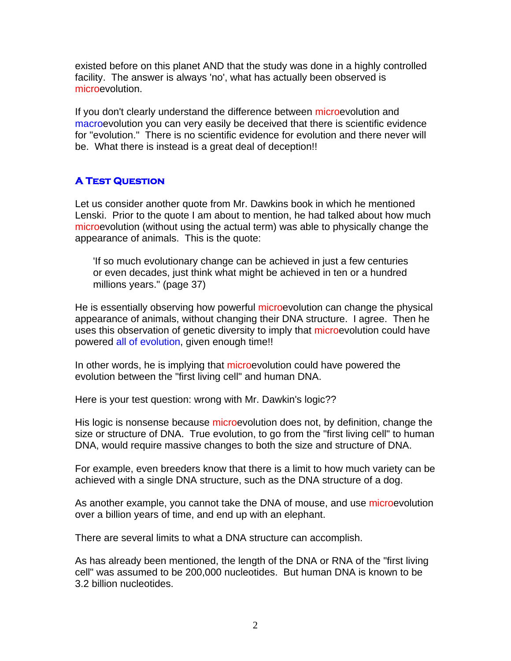existed before on this planet AND that the study was done in a highly controlled facility. The answer is always 'no', what has actually been observed is microevolution.

If you don't clearly understand the difference between microevolution and macroevolution you can very easily be deceived that there is scientific evidence for "evolution." There is no scientific evidence for evolution and there never will be. What there is instead is a great deal of deception!!

## **A Test Question**

Let us consider another quote from Mr. Dawkins book in which he mentioned Lenski. Prior to the quote I am about to mention, he had talked about how much microevolution (without using the actual term) was able to physically change the appearance of animals. This is the quote:

'If so much evolutionary change can be achieved in just a few centuries or even decades, just think what might be achieved in ten or a hundred millions years." (page 37)

He is essentially observing how powerful microevolution can change the physical appearance of animals, without changing their DNA structure. I agree. Then he uses this observation of genetic diversity to imply that microevolution could have powered all of evolution, given enough time!!

In other words, he is implying that microevolution could have powered the evolution between the "first living cell" and human DNA.

Here is your test question: wrong with Mr. Dawkin's logic??

His logic is nonsense because microevolution does not, by definition, change the size or structure of DNA. True evolution, to go from the "first living cell" to human DNA, would require massive changes to both the size and structure of DNA.

For example, even breeders know that there is a limit to how much variety can be achieved with a single DNA structure, such as the DNA structure of a dog.

As another example, you cannot take the DNA of mouse, and use microevolution over a billion years of time, and end up with an elephant.

There are several limits to what a DNA structure can accomplish.

As has already been mentioned, the length of the DNA or RNA of the "first living cell" was assumed to be 200,000 nucleotides. But human DNA is known to be 3.2 billion nucleotides.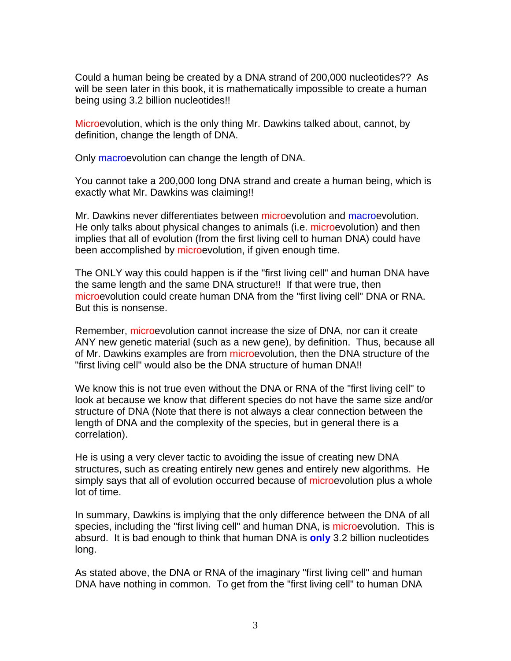Could a human being be created by a DNA strand of 200,000 nucleotides?? As will be seen later in this book, it is mathematically impossible to create a human being using 3.2 billion nucleotides!!

Microevolution, which is the only thing Mr. Dawkins talked about, cannot, by definition, change the length of DNA.

Only macroevolution can change the length of DNA.

You cannot take a 200,000 long DNA strand and create a human being, which is exactly what Mr. Dawkins was claiming!!

Mr. Dawkins never differentiates between microevolution and macroevolution. He only talks about physical changes to animals (i.e. microevolution) and then implies that all of evolution (from the first living cell to human DNA) could have been accomplished by microevolution, if given enough time.

The ONLY way this could happen is if the "first living cell" and human DNA have the same length and the same DNA structure!! If that were true, then microevolution could create human DNA from the "first living cell" DNA or RNA. But this is nonsense.

Remember, microevolution cannot increase the size of DNA, nor can it create ANY new genetic material (such as a new gene), by definition. Thus, because all of Mr. Dawkins examples are from microevolution, then the DNA structure of the "first living cell" would also be the DNA structure of human DNA!!

We know this is not true even without the DNA or RNA of the "first living cell" to look at because we know that different species do not have the same size and/or structure of DNA (Note that there is not always a clear connection between the length of DNA and the complexity of the species, but in general there is a correlation).

He is using a very clever tactic to avoiding the issue of creating new DNA structures, such as creating entirely new genes and entirely new algorithms. He simply says that all of evolution occurred because of microevolution plus a whole lot of time.

In summary, Dawkins is implying that the only difference between the DNA of all species, including the "first living cell" and human DNA, is microevolution. This is absurd. It is bad enough to think that human DNA is **only** 3.2 billion nucleotides long.

As stated above, the DNA or RNA of the imaginary "first living cell" and human DNA have nothing in common. To get from the "first living cell" to human DNA